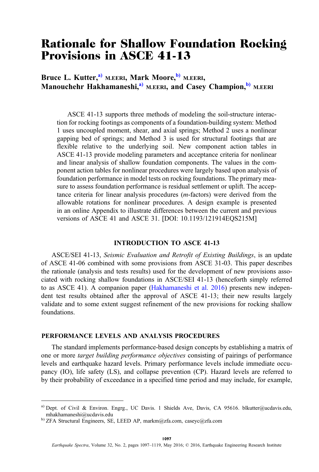# Rationale for Shallow Foundation Rocking Provisions in ASCE 41-13

Bruce L. Kutter,<sup>a)</sup> M.EERI, Mark Moore,<sup>b)</sup> M.EERI, Manouchehr Hakhamaneshi,<sup>a)</sup> M.EERI, and Casey Champion,<sup>b)</sup> M.EERI

ASCE 41-13 supports three methods of modeling the soil-structure interaction for rocking footings as components of a foundation-building system: Method 1 uses uncoupled moment, shear, and axial springs; Method 2 uses a nonlinear gapping bed of springs; and Method 3 is used for structural footings that are flexible relative to the underlying soil. New component action tables in ASCE 41-13 provide modeling parameters and acceptance criteria for nonlinear and linear analysis of shallow foundation components. The values in the component action tables for nonlinear procedures were largely based upon analysis of foundation performance in model tests on rocking foundations. The primary measure to assess foundation performance is residual settlement or uplift. The acceptance criteria for linear analysis procedures (m-factors) were derived from the allowable rotations for nonlinear procedures. A design example is presented in an online Appendix to illustrate differences between the current and previous versions of ASCE 41 and ASCE 31. [DOI: 10.1193/121914EQS215M]

## INTRODUCTION TO ASCE 41-13

ASCE/SEI 41-13, Seismic Evaluation and Retrofit of Existing Buildings, is an update of ASCE 41-06 combined with some provisions from ASCE 31-03. This paper describes the rationale (analysis and tests results) used for the development of new provisions associated with rocking shallow foundations in ASCE/SEI 41-13 (henceforth simply referred to as ASCE 41). A companion paper ([Hakhamaneshi et al. 2016](#page-22-0)) presents new independent test results obtained after the approval of ASCE 41-13; their new results largely validate and to some extent suggest refinement of the new provisions for rocking shallow foundations.

## PERFORMANCE LEVELS AND ANALYSIS PROCEDURES

The standard implements performance-based design concepts by establishing a matrix of one or more target building performance objectives consisting of pairings of performance levels and earthquake hazard levels. Primary performance levels include immediate occupancy (IO), life safety (LS), and collapse prevention (CP). Hazard levels are referred to by their probability of exceedance in a specified time period and may include, for example,

a) Dept. of Civil & Environ. Engrg., UC Davis. 1 Shields Ave, Davis, CA 95616. blkutter@ucdavis.edu, mhakhamaneshi@ucdavis.edu

b) ZFA Structural Engineers, SE, LEED AP, markm@zfa.com, caseyc@zfa.com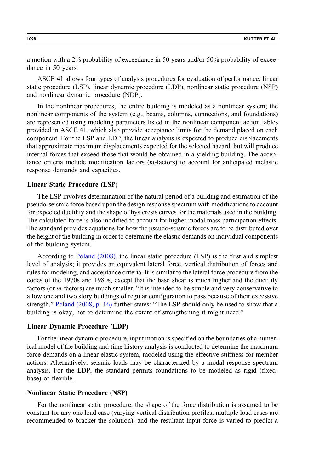a motion with a 2% probability of exceedance in 50 years and/or 50% probability of exceedance in 50 years.

ASCE 41 allows four types of analysis procedures for evaluation of performance: linear static procedure (LSP), linear dynamic procedure (LDP), nonlinear static procedure (NSP) and nonlinear dynamic procedure (NDP).

In the nonlinear procedures, the entire building is modeled as a nonlinear system; the nonlinear components of the system (e.g., beams, columns, connections, and foundations) are represented using modeling parameters listed in the nonlinear component action tables provided in ASCE 41, which also provide acceptance limits for the demand placed on each component. For the LSP and LDP, the linear analysis is expected to produce displacements that approximate maximum displacements expected for the selected hazard, but will produce internal forces that exceed those that would be obtained in a yielding building. The acceptance criteria include modification factors (m-factors) to account for anticipated inelastic response demands and capacities.

### Linear Static Procedure (LSP)

The LSP involves determination of the natural period of a building and estimation of the pseudo-seismic force based upon the design response spectrum with modifications to account for expected ductility and the shape of hysteresis curves for the materials used in the building. The calculated force is also modified to account for higher modal mass participation effects. The standard provides equations for how the pseudo-seismic forces are to be distributed over the height of the building in order to determine the elastic demands on individual components of the building system.

According to [Poland \(2008\)](#page-22-0), the linear static procedure (LSP) is the first and simplest level of analysis; it provides an equivalent lateral force, vertical distribution of forces and rules for modeling, and acceptance criteria. It is similar to the lateral force procedure from the codes of the 1970s and 1980s, except that the base shear is much higher and the ductility factors (or m-factors) are much smaller. "It is intended to be simple and very conservative to allow one and two story buildings of regular configuration to pass because of their excessive strength." [Poland \(2008, p. 16\)](#page-22-0) further states: "The LSP should only be used to show that a building is okay, not to determine the extent of strengthening it might need."

#### Linear Dynamic Procedure (LDP)

For the linear dynamic procedure, input motion is specified on the boundaries of a numerical model of the building and time history analysis is conducted to determine the maximum force demands on a linear elastic system, modeled using the effective stiffness for member actions. Alternatively, seismic loads may be characterized by a modal response spectrum analysis. For the LDP, the standard permits foundations to be modeled as rigid (fixedbase) or flexible.

## Nonlinear Static Procedure (NSP)

For the nonlinear static procedure, the shape of the force distribution is assumed to be constant for any one load case (varying vertical distribution profiles, multiple load cases are recommended to bracket the solution), and the resultant input force is varied to predict a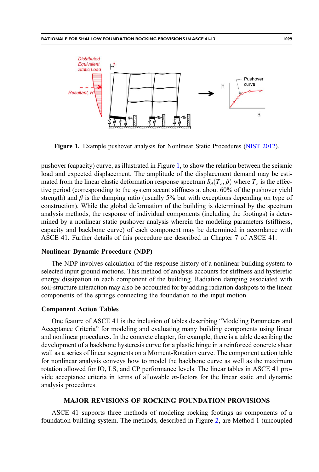

Figure 1. Example pushover analysis for Nonlinear Static Procedures ([NIST 2012\)](#page-22-0).

pushover (capacity) curve, as illustrated in Figure 1, to show the relation between the seismic load and expected displacement. The amplitude of the displacement demand may be estimated from the linear elastic deformation response spectrum  $S_d(T_e, \beta)$  where  $T_e$  is the effective period (corresponding to the system secant stiffness at about 60% of the pushover yield strength) and  $\beta$  is the damping ratio (usually 5% but with exceptions depending on type of construction). While the global deformation of the building is determined by the spectrum analysis methods, the response of individual components (including the footings) is determined by a nonlinear static pushover analysis wherein the modeling parameters (stiffness, capacity and backbone curve) of each component may be determined in accordance with ASCE 41. Further details of this procedure are described in Chapter 7 of ASCE 41.

#### Nonlinear Dynamic Procedure (NDP)

The NDP involves calculation of the response history of a nonlinear building system to selected input ground motions. This method of analysis accounts for stiffness and hysteretic energy dissipation in each component of the building. Radiation damping associated with soil-structure interaction may also be accounted for by adding radiation dashpots to the linear components of the springs connecting the foundation to the input motion.

#### Component Action Tables

One feature of ASCE 41 is the inclusion of tables describing "Modeling Parameters and Acceptance Criteria" for modeling and evaluating many building components using linear and nonlinear procedures. In the concrete chapter, for example, there is a table describing the development of a backbone hysteresis curve for a plastic hinge in a reinforced concrete shear wall as a series of linear segments on a Moment-Rotation curve. The component action table for nonlinear analysis conveys how to model the backbone curve as well as the maximum rotation allowed for IO, LS, and CP performance levels. The linear tables in ASCE 41 provide acceptance criteria in terms of allowable m-factors for the linear static and dynamic analysis procedures.

## MAJOR REVISIONS OF ROCKING FOUNDATION PROVISIONS

ASCE 41 supports three methods of modeling rocking footings as components of a foundation-building system. The methods, described in Figure [2](#page-3-0), are Method 1 (uncoupled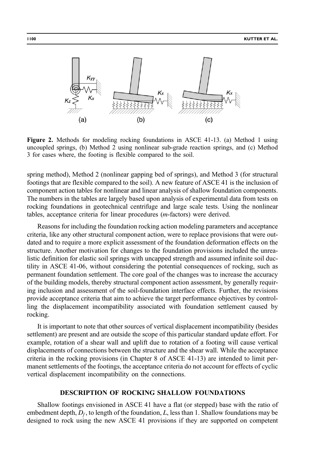<span id="page-3-0"></span>

Figure 2. Methods for modeling rocking foundations in ASCE 41-13. (a) Method 1 using uncoupled springs, (b) Method 2 using nonlinear sub-grade reaction springs, and (c) Method 3 for cases where, the footing is flexible compared to the soil.

spring method), Method 2 (nonlinear gapping bed of springs), and Method 3 (for structural footings that are flexible compared to the soil). A new feature of ASCE 41 is the inclusion of component action tables for nonlinear and linear analysis of shallow foundation components. The numbers in the tables are largely based upon analysis of experimental data from tests on rocking foundations in geotechnical centrifuge and large scale tests. Using the nonlinear tables, acceptance criteria for linear procedures (m-factors) were derived.

Reasons for including the foundation rocking action modeling parameters and acceptance criteria, like any other structural component action, were to replace provisions that were outdated and to require a more explicit assessment of the foundation deformation effects on the structure. Another motivation for changes to the foundation provisions included the unrealistic definition for elastic soil springs with uncapped strength and assumed infinite soil ductility in ASCE 41-06, without considering the potential consequences of rocking, such as permanent foundation settlement. The core goal of the changes was to increase the accuracy of the building models, thereby structural component action assessment, by generally requiring inclusion and assessment of the soil-foundation interface effects. Further, the revisions provide acceptance criteria that aim to achieve the target performance objectives by controlling the displacement incompatibility associated with foundation settlement caused by rocking.

It is important to note that other sources of vertical displacement incompatibility (besides settlement) are present and are outside the scope of this particular standard update effort. For example, rotation of a shear wall and uplift due to rotation of a footing will cause vertical displacements of connections between the structure and the shear wall. While the acceptance criteria in the rocking provisions (in Chapter 8 of ASCE 41-13) are intended to limit permanent settlements of the footings, the acceptance criteria do not account for effects of cyclic vertical displacement incompatibility on the connections.

# DESCRIPTION OF ROCKING SHALLOW FOUNDATIONS

Shallow footings envisioned in ASCE 41 have a flat (or stepped) base with the ratio of embedment depth,  $D_f$ , to length of the foundation, L, less than 1. Shallow foundations may be designed to rock using the new ASCE 41 provisions if they are supported on competent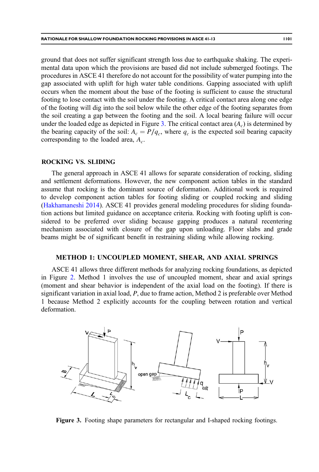ground that does not suffer significant strength loss due to earthquake shaking. The experimental data upon which the provisions are based did not include submerged footings. The procedures in ASCE 41 therefore do not account for the possibility of water pumping into the gap associated with uplift for high water table conditions. Gapping associated with uplift occurs when the moment about the base of the footing is sufficient to cause the structural footing to lose contact with the soil under the footing. A critical contact area along one edge of the footing will dig into the soil below while the other edge of the footing separates from the soil creating a gap between the footing and the soil. A local bearing failure will occur under the loaded edge as depicted in Figure 3. The critical contact area  $(A<sub>c</sub>)$  is determined by the bearing capacity of the soil:  $A_c = P/q_c$ , where  $q_c$  is the expected soil bearing capacity corresponding to the loaded area,  $A_c$ .

## ROCKING VS. SLIDING

The general approach in ASCE 41 allows for separate consideration of rocking, sliding and settlement deformations. However, the new component action tables in the standard assume that rocking is the dominant source of deformation. Additional work is required to develop component action tables for footing sliding or coupled rocking and sliding [\(Hakhamaneshi 2014\)](#page-22-0). ASCE 41 provides general modeling procedures for sliding foundation actions but limited guidance on acceptance criteria. Rocking with footing uplift is considered to be preferred over sliding because gapping produces a natural recentering mechanism associated with closure of the gap upon unloading. Floor slabs and grade beams might be of significant benefit in restraining sliding while allowing rocking.

#### METHOD 1: UNCOUPLED MOMENT, SHEAR, AND AXIAL SPRINGS

ASCE 41 allows three different methods for analyzing rocking foundations, as depicted in Figure [2](#page-3-0). Method 1 involves the use of uncoupled moment, shear and axial springs (moment and shear behavior is independent of the axial load on the footing). If there is significant variation in axial load, P, due to frame action, Method 2 is preferable over Method 1 because Method 2 explicitly accounts for the coupling between rotation and vertical deformation.



Figure 3. Footing shape parameters for rectangular and I-shaped rocking footings.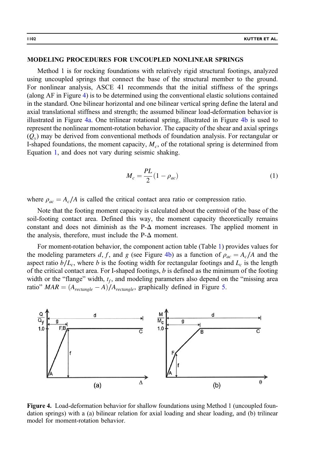## <span id="page-5-0"></span>MODELING PROCEDURES FOR UNCOUPLED NONLINEAR SPRINGS

Method 1 is for rocking foundations with relatively rigid structural footings, analyzed using uncoupled springs that connect the base of the structural member to the ground. For nonlinear analysis, ASCE 41 recommends that the initial stiffness of the springs (along AF in Figure 4) is to be determined using the conventional elastic solutions contained in the standard. One bilinear horizontal and one bilinear vertical spring define the lateral and axial translational stiffness and strength; the assumed bilinear load-deformation behavior is illustrated in Figure 4a. One trilinear rotational spring, illustrated in Figure 4b is used to represent the nonlinear moment-rotation behavior. The capacity of the shear and axial springs  $(Q_y)$  may be derived from conventional methods of foundation analysis. For rectangular or I-shaped foundations, the moment capacity,  $M_c$ , of the rotational spring is determined from Equation 1, and does not vary during seismic shaking.

$$
M_c = \frac{PL}{2}(1 - \rho_{ac})
$$
\n<sup>(1)</sup>

where  $\rho_{ac} = A_c/A$  is called the critical contact area ratio or compression ratio.

Note that the footing moment capacity is calculated about the centroid of the base of the soil-footing contact area. Defined this way, the moment capacity theoretically remains constant and does not diminish as the  $P-\Delta$  moment increases. The applied moment in the analysis, therefore, must include the  $P-\Delta$  moment.

For moment-rotation behavior, the component action table (Table [1\)](#page-6-0) provides values for the modeling parameters d, f, and g (see Figure 4b) as a function of  $\rho_{ac} = A_c/A$  and the aspect ratio  $b/L_c$ , where b is the footing width for rectangular footings and  $L_c$  is the length of the critical contact area. For I-shaped footings,  $b$  is defined as the minimum of the footing width or the "flange" width,  $t_f$ , and modeling parameters also depend on the "missing area ratio"  $MAR = (A_{rectangle} - A)/A_{rectangle}$ , graphically defined in Figure [5](#page-6-0).



Figure 4. Load-deformation behavior for shallow foundations using Method 1 (uncoupled foundation springs) with a (a) bilinear relation for axial loading and shear loading, and (b) trilinear model for moment-rotation behavior.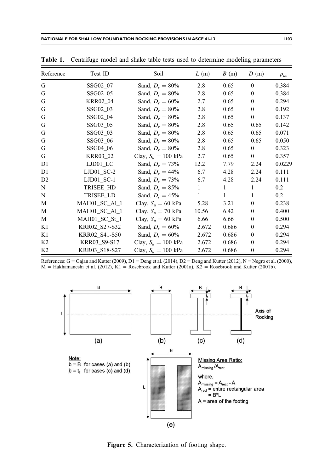| Reference      | Test ID                | Soil                  | L(m)         | B(m)  | D(m)           | $\rho_{ac}$ |
|----------------|------------------------|-----------------------|--------------|-------|----------------|-------------|
| G              | SSG02_07               | Sand, $D_r = 80\%$    | 2.8          | 0.65  | $\theta$       | 0.384       |
| G              | SSG02_05               | Sand, $D_r = 80\%$    | 2.8          | 0.65  | $\overline{0}$ | 0.384       |
| G              | <b>KRR02_04</b>        | Sand, $D_r = 60\%$    | 2.7          | 0.65  | $\theta$       | 0.294       |
| G              | SSG02_03               | Sand, $D_r = 80\%$    | 2.8          | 0.65  | $\Omega$       | 0.192       |
| G              | SSG02_04               | Sand, $D_r = 80\%$    | 2.8          | 0.65  | $\mathbf{0}$   | 0.137       |
| G              | SSG03_05               | Sand, $D_r = 80\%$    | 2.8          | 0.65  | 0.65           | 0.142       |
| G              | SSG03_03               | Sand, $D_r = 80\%$    | 2.8          | 0.65  | 0.65           | 0.071       |
| G              | SSG03_06               | Sand, $D_r = 80\%$    | 2.8          | 0.65  | 0.65           | 0.050       |
| G              | SSG04_06               | Sand, $D_r = 80\%$    | 2.8          | 0.65  | $\overline{0}$ | 0.323       |
| G              | KRR03_02               | Clay, $S_u = 100$ kPa | 2.7          | 0.65  | $\mathbf{0}$   | 0.357       |
| D <sub>1</sub> | $LJD01$ <sub>_LC</sub> | Sand, $D_r = 73\%$    | 12.2         | 7.79  | 2.24           | 0.0229      |
| D <sub>1</sub> | $LJD01_SC-2$           | Sand, $D_r = 44\%$    | 6.7          | 4.28  | 2.24           | 0.111       |
| D2             | $LJD01$ SC-1           | Sand, $D_r = 73\%$    | 6.7          | 4.28  | 2.24           | 0.111       |
| N              | TRISEE_HD              | Sand, $D_r = 85\%$    | $\mathbf{1}$ | 1     | $\mathbf{1}$   | 0.2         |
| N              | TRISEE_LD              | Sand, $D_r = 45\%$    | $\mathbf{1}$ | 1     | $\mathbf{1}$   | 0.2         |
| M              | MAH01_SC_Al_1          | Clay, $S_u = 60$ kPa  | 5.28         | 3.21  | $\overline{0}$ | 0.238       |
| М              | MAH01 SC Al 1          | Clay, $S_u = 70$ kPa  | 10.56        | 6.42  | $\overline{0}$ | 0.400       |
| М              | MAH01 SC St 1          | Clay, $S_u = 60$ kPa  | 6.66         | 6.66  | $\mathbf{0}$   | 0.500       |
| K1             | KRR02_S27-S32          | Sand, $D_r = 60\%$    | 2.672        | 0.686 | $\mathbf{0}$   | 0.294       |
| K1             | KRR02 S41-S50          | Sand, $D_r = 60\%$    | 2.672        | 0.686 | $\mathbf{0}$   | 0.294       |
| K2             | KRR03_S9-S17           | Clay, $S_u = 100$ kPa | 2.672        | 0.686 | $\mathbf{0}$   | 0.294       |
| K <sub>2</sub> | KRR03_S18-S27          | Clay, $S_u = 100$ kPa | 2.672        | 0.686 | $\mathbf{0}$   | 0.294       |

<span id="page-6-0"></span>Table 1. Centrifuge model and shake table tests used to determine modeling parameters

References:  $G = G$ ajan and Kutter (2009), D1 = Deng et al. (2014), D2 = Deng and Kutter (2012), N = Negro et al. (2000),  $M = H$ akhamaneshi et al. (2012), K1 = Rosebrook and Kutter (2001a), K2 = Rosebrook and Kutter (2001b).



Figure 5. Characterization of footing shape.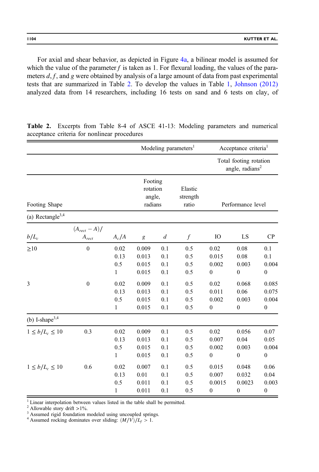<span id="page-7-0"></span>For axial and shear behavior, as depicted in Figure [4a,](#page-5-0) a bilinear model is assumed for which the value of the parameter f is taken as 1. For flexural loading, the values of the parameters  $d, f$ , and g were obtained by analysis of a large amount of data from past experimental tests that are summarized in Table 2. To develop the values in Table [1,](#page-6-0) [Johnson \(2012\)](#page-22-0) analyzed data from 14 researchers, including 16 tests on sand and 6 tests on clay, of

|                              |                               |                                     | Modeling parameters <sup>1</sup>         |                          |                              | Acceptance criteria <sup>1</sup>             |                                                       |                                             |
|------------------------------|-------------------------------|-------------------------------------|------------------------------------------|--------------------------|------------------------------|----------------------------------------------|-------------------------------------------------------|---------------------------------------------|
|                              |                               |                                     |                                          |                          |                              |                                              | Total footing rotation<br>angle, radians <sup>2</sup> |                                             |
| Footing Shape                |                               |                                     | Footing<br>rotation<br>angle,<br>radians |                          | Elastic<br>strength<br>ratio | Performance level                            |                                                       |                                             |
| (a) Rectangle <sup>3,4</sup> |                               |                                     |                                          |                          |                              |                                              |                                                       |                                             |
| $b/L_c$                      | $(A_{rect}-A)/$<br>$A_{rect}$ | $A_c/A$                             | g                                        | $\boldsymbol{d}$         | $\boldsymbol{f}$             | IO                                           | LS                                                    | CP                                          |
| $\geq 10$                    | $\boldsymbol{0}$              | 0.02<br>0.13<br>0.5<br>$\mathbf{1}$ | 0.009<br>0.013<br>0.015<br>0.015         | 0.1<br>0.1<br>0.1<br>0.1 | 0.5<br>0.5<br>0.5<br>0.5     | 0.02<br>0.015<br>0.002<br>$\boldsymbol{0}$   | 0.08<br>0.08<br>0.003<br>$\boldsymbol{0}$             | 0.1<br>0.1<br>0.004<br>$\boldsymbol{0}$     |
| 3                            | $\boldsymbol{0}$              | 0.02<br>0.13<br>0.5<br>$\mathbf{1}$ | 0.009<br>0.013<br>0.015<br>0.015         | 0.1<br>0.1<br>0.1<br>0.1 | 0.5<br>0.5<br>0.5<br>0.5     | 0.02<br>0.011<br>0.002<br>$\boldsymbol{0}$   | 0.068<br>0.06<br>0.003<br>$\boldsymbol{0}$            | 0.085<br>0.075<br>0.004<br>$\boldsymbol{0}$ |
| (b) I-shape $3,4$            |                               |                                     |                                          |                          |                              |                                              |                                                       |                                             |
| $1 \le b/L_c \le 10$         | 0.3                           | 0.02<br>0.13<br>0.5<br>1            | 0.009<br>0.013<br>0.015<br>0.015         | 0.1<br>0.1<br>0.1<br>0.1 | 0.5<br>0.5<br>0.5<br>0.5     | 0.02<br>0.007<br>0.002<br>$\boldsymbol{0}$   | 0.056<br>0.04<br>0.003<br>$\boldsymbol{0}$            | 0.07<br>0.05<br>0.004<br>$\boldsymbol{0}$   |
| $1 \le b/L_c \le 10$         | 0.6                           | 0.02<br>0.13<br>0.5<br>$\mathbf{1}$ | 0.007<br>0.01<br>0.011<br>0.011          | 0.1<br>0.1<br>0.1<br>0.1 | 0.5<br>0.5<br>0.5<br>0.5     | 0.015<br>0.007<br>0.0015<br>$\boldsymbol{0}$ | 0.048<br>0.032<br>0.0023<br>$\boldsymbol{0}$          | 0.06<br>0.04<br>0.003<br>$\boldsymbol{0}$   |

Table 2. Excerpts from Table 8-4 of ASCE 41-13: Modeling parameters and numerical acceptance criteria for nonlinear procedures

<sup>1</sup> Linear interpolation between values listed in the table shall be permitted. <sup>2</sup> Allowable story drift >1%.

<sup>3</sup> Assumed rigid foundation modeled using uncoupled springs.

<sup>4</sup> Assumed rocking dominates over sliding:  $\frac{(M/V)}{L_f} > 1$ .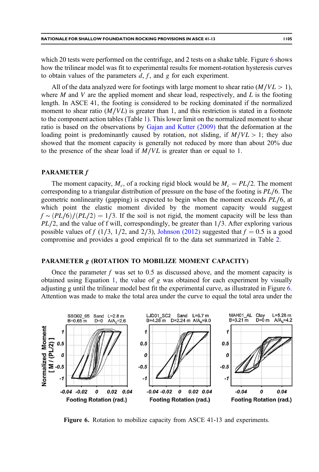which 20 tests were performed on the centrifuge, and 2 tests on a shake table. Figure 6 shows how the trilinear model was fit to experimental results for moment-rotation hysteresis curves to obtain values of the parameters  $d, f$ , and g for each experiment.

All of the data analyzed were for footings with large moment to shear ratio  $(M/VL > 1)$ , where  $M$  and  $V$  are the applied moment and shear load, respectively, and  $L$  is the footing length. In ASCE 41, the footing is considered to be rocking dominated if the normalized moment to shear ratio  $(M/VL)$  is greater than 1, and this restriction is stated in a footnote to the component action tables (Table [1\)](#page-6-0). This lower limit on the normalized moment to shear ratio is based on the observations by [Gajan and Kutter \(2009\)](#page-22-0) that the deformation at the loading point is predominantly caused by rotation, not sliding, if  $M/VL > 1$ ; they also showed that the moment capacity is generally not reduced by more than about 20% due to the presence of the shear load if  $M/VL$  is greater than or equal to 1.

## PARAMETER f

The moment capacity,  $M_c$ , of a rocking rigid block would be  $M_c = PL/2$ . The moment corresponding to a triangular distribution of pressure on the base of the footing is PL∕6. The geometric nonlinearity (gapping) is expected to begin when the moment exceeds PL∕6, at which point the elastic moment divided by the moment capacity would suggest  $f \sim (PL/6)/(PL/2) = 1/3$ . If the soil is not rigid, the moment capacity will be less than PL/2, and the value of f will, correspondingly, be greater than 1/3. After exploring various possible values of f (1/3, 1/2, and 2/3), [Johnson \(2012\)](#page-22-0) suggested that  $f = 0.5$  is a good compromise and provides a good empirical fit to the data set summarized in Table [2.](#page-7-0)

# PARAMETER g (ROTATION TO MOBILIZE MOMENT CAPACITY)

Once the parameter f was set to 0.5 as discussed above, and the moment capacity is obtained using Equation [1](#page-5-0), the value of  $g$  was obtained for each experiment by visually adjusting g until the trilinear model best fit the experimental curve, as illustrated in Figure 6. Attention was made to make the total area under the curve to equal the total area under the



Figure 6. Rotation to mobilize capacity from ASCE 41-13 and experiments.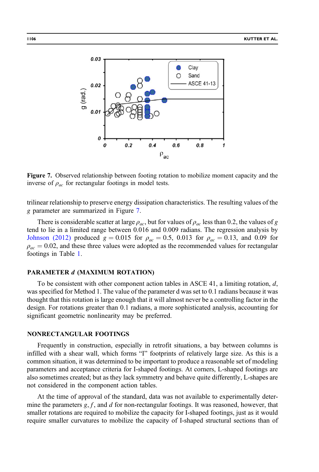

Figure 7. Observed relationship between footing rotation to mobilize moment capacity and the inverse of  $\rho_{ac}$  for rectangular footings in model tests.

trilinear relationship to preserve energy dissipation characteristics. The resulting values of the g parameter are summarized in Figure 7.

There is considerable scatter at large  $\rho_{ac}$ , but for values of  $\rho_{ac}$  less than 0.2, the values of g tend to lie in a limited range between 0.016 and 0.009 radians. The regression analysis by [Johnson \(2012\)](#page-22-0) produced  $g = 0.015$  for  $\rho_{ac} = 0.5$ , 0.013 for  $\rho_{ac} = 0.13$ , and 0.09 for  $\rho_{ac} = 0.02$ , and these three values were adopted as the recommended values for rectangular footings in Table [1.](#page-6-0)

## PARAMETER d (MAXIMUM ROTATION)

To be consistent with other component action tables in ASCE 41, a limiting rotation,  $d$ , was specified for Method 1. The value of the parameter d was set to 0.1 radians because it was thought that this rotation is large enough that it will almost never be a controlling factor in the design. For rotations greater than 0.1 radians, a more sophisticated analysis, accounting for significant geometric nonlinearity may be preferred.

# NONRECTANGULAR FOOTINGS

Frequently in construction, especially in retrofit situations, a bay between columns is infilled with a shear wall, which forms "I" footprints of relatively large size. As this is a common situation, it was determined to be important to produce a reasonable set of modeling parameters and acceptance criteria for I-shaped footings. At corners, L-shaped footings are also sometimes created; but as they lack symmetry and behave quite differently, L-shapes are not considered in the component action tables.

At the time of approval of the standard, data was not available to experimentally determine the parameters  $g, f$ , and  $d$  for non-rectangular footings. It was reasoned, however, that smaller rotations are required to mobilize the capacity for I-shaped footings, just as it would require smaller curvatures to mobilize the capacity of I-shaped structural sections than of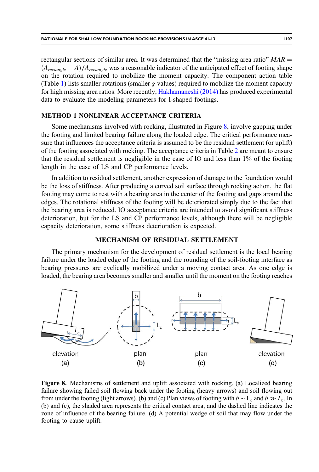<span id="page-10-0"></span>rectangular sections of similar area. It was determined that the "missing area ratio"  $MAR =$  $(A_{rectangle} - A) / A_{rectangle}$  was a reasonable indicator of the anticipated effect of footing shape on the rotation required to mobilize the moment capacity. The component action table (Table [1\)](#page-6-0) lists smaller rotations (smaller g values) required to mobilize the moment capacity for high missing area ratios. More recently, [Hakhamaneshi \(2014\)](#page-22-0) has produced experimental data to evaluate the modeling parameters for I-shaped footings.

# METHOD 1 NONLINEAR ACCEPTANCE CRITERIA

Some mechanisms involved with rocking, illustrated in Figure 8, involve gapping under the footing and limited bearing failure along the loaded edge. The critical performance measure that influences the acceptance criteria is assumed to be the residual settlement (or uplift) of the footing associated with rocking. The acceptance criteria in Table [2](#page-7-0) are meant to ensure that the residual settlement is negligible in the case of IO and less than 1% of the footing length in the case of LS and CP performance levels.

In addition to residual settlement, another expression of damage to the foundation would be the loss of stiffness. After producing a curved soil surface through rocking action, the flat footing may come to rest with a bearing area in the center of the footing and gaps around the edges. The rotational stiffness of the footing will be deteriorated simply due to the fact that the bearing area is reduced. IO acceptance criteria are intended to avoid significant stiffness deterioration, but for the LS and CP performance levels, although there will be negligible capacity deterioration, some stiffness deterioration is expected.

## MECHANISM OF RESIDUAL SETTLEMENT

The primary mechanism for the development of residual settlement is the local bearing failure under the loaded edge of the footing and the rounding of the soil-footing interface as bearing pressures are cyclically mobilized under a moving contact area. As one edge is loaded, the bearing area becomes smaller and smaller until the moment on the footing reaches



Figure 8. Mechanisms of settlement and uplift associated with rocking. (a) Localized bearing failure showing failed soil flowing back under the footing (heavy arrows) and soil flowing out from under the footing (light arrows). (b) and (c) Plan views of footing with  $b \sim L_c$  and  $b \gg L_c$ . In (b) and (c), the shaded area represents the critical contact area, and the dashed line indicates the zone of influence of the bearing failure. (d) A potential wedge of soil that may flow under the footing to cause uplift.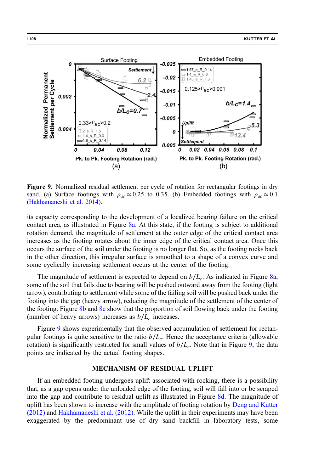<span id="page-11-0"></span>

Figure 9. Normalized residual settlement per cycle of rotation for rectangular footings in dry sand. (a) Surface footings with  $\rho_{ac} \approx 0.25$  to 0.35. (b) Embedded footings with  $\rho_{ac} \approx 0.1$ [\(Hakhamaneshi et al. 2014](#page-22-0)).

its capacity corresponding to the development of a localized bearing failure on the critical contact area, as illustrated in Figure [8a.](#page-10-0) At this state, if the footing is subject to additional rotation demand, the magnitude of settlement at the outer edge of the critical contact area increases as the footing rotates about the inner edge of the critical contact area. Once this occurs the surface of the soil under the footing is no longer flat. So, as the footing rocks back in the other direction, this irregular surface is smoothed to a shape of a convex curve and some cyclically increasing settlement occurs at the center of the footing.

The magnitude of settlement is expected to depend on  $b/L_c$ . As indicated in Figure [8a](#page-10-0), some of the soil that fails due to bearing will be pushed outward away from the footing (light arrow), contributing to settlement while some of the failing soil will be pushed back under the footing into the gap (heavy arrow), reducing the magnitude of the settlement of the center of the footing. Figure [8b](#page-10-0) and [8c](#page-10-0) show that the proportion of soil flowing back under the footing (number of heavy arrows) increases as  $b/L_c$  increases.

Figure 9 shows experimentally that the observed accumulation of settlement for rectangular footings is quite sensitive to the ratio  $b/L_c$ . Hence the acceptance criteria (allowable rotation) is significantly restricted for small values of  $b/L_c$ . Note that in Figure 9, the data points are indicated by the actual footing shapes.

## MECHANISM OF RESIDUAL UPLIFT

If an embedded footing undergoes uplift associated with rocking, there is a possibility that, as a gap opens under the unloaded edge of the footing, soil will fall into or be scraped into the gap and contribute to residual uplift as illustrated in Figure [8d](#page-10-0). The magnitude of uplift has been shown to increase with the amplitude of footing rotation by [Deng and Kutter](#page-21-0) [\(2012\)](#page-21-0) and [Hakhamaneshi et al. \(2012\)](#page-22-0). While the uplift in their experiments may have been exaggerated by the predominant use of dry sand backfill in laboratory tests, some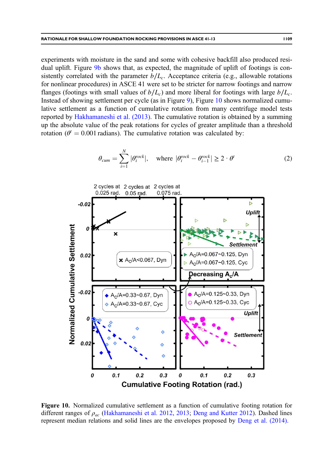<span id="page-12-0"></span>experiments with moisture in the sand and some with cohesive backfill also produced resi-dual uplift. Figure [9b](#page-11-0) shows that, as expected, the magnitude of uplift of footings is consistently correlated with the parameter  $b/L_c$ . Acceptance criteria (e.g., allowable rotations for nonlinear procedures) in ASCE 41 were set to be stricter for narrow footings and narrow flanges (footings with small values of  $b/L_c$ ) and more liberal for footings with large  $b/L_c$ . Instead of showing settlement per cycle (as in Figure [9\)](#page-11-0), Figure 10 shows normalized cumulative settlement as a function of cumulative rotation from many centrifuge model tests reported by [Hakhamaneshi et al. \(2013\).](#page-22-0) The cumulative rotation is obtained by a summing up the absolute value of the peak rotations for cycles of greater amplitude than a threshold rotation ( $\theta^t = 0.001$  radians). The cumulative rotation was calculated by:

$$
\theta_{cum} = \sum_{i=1}^{N} |\theta_i^{rock}|, \quad \text{where } |\theta_i^{rock} - \theta_{i-1}^{rock}| \ge 2 \cdot \theta^t \tag{2}
$$



Figure 10. Normalized cumulative settlement as a function of cumulative footing rotation for different ranges of  $\rho_{ac}$  [\(Hakhamaneshi et al. 2012](#page-22-0), [2013;](#page-22-0) [Deng and Kutter 2012](#page-21-0)). Dashed lines represent median relations and solid lines are the envelopes proposed by [Deng et al. \(2014\)](#page-21-0).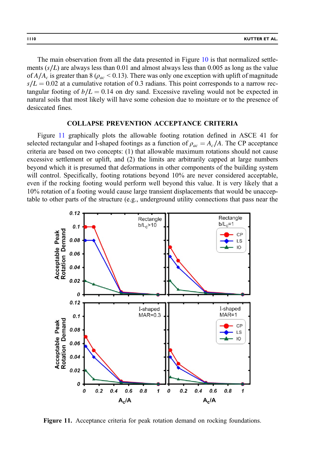<span id="page-13-0"></span>The main observation from all the data presented in Figure [10](#page-12-0) is that normalized settlements  $(s/L)$  are always less than 0.01 and almost always less than 0.005 as long as the value of  $A/A_c$  is greater than 8 ( $\rho_{ac}$  < 0.13). There was only one exception with uplift of magnitude  $s/L = 0.02$  at a cumulative rotation of 0.3 radians. This point corresponds to a narrow rectangular footing of  $b/L = 0.14$  on dry sand. Excessive raveling would not be expected in natural soils that most likely will have some cohesion due to moisture or to the presence of desiccated fines.

# COLLAPSE PREVENTION ACCEPTANCE CRITERIA

Figure 11 graphically plots the allowable footing rotation defined in ASCE 41 for selected rectangular and I-shaped footings as a function of  $\rho_{ac} = A_c/A$ . The CP acceptance criteria are based on two concepts: (1) that allowable maximum rotations should not cause excessive settlement or uplift, and (2) the limits are arbitrarily capped at large numbers beyond which it is presumed that deformations in other components of the building system will control. Specifically, footing rotations beyond 10% are never considered acceptable, even if the rocking footing would perform well beyond this value. It is very likely that a 10% rotation of a footing would cause large transient displacements that would be unacceptable to other parts of the structure (e.g., underground utility connections that pass near the



Figure 11. Acceptance criteria for peak rotation demand on rocking foundations.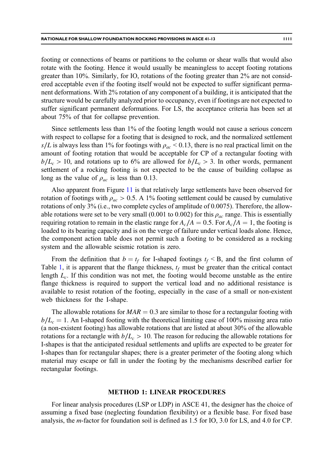footing or connections of beams or partitions to the column or shear walls that would also rotate with the footing. Hence it would usually be meaningless to accept footing rotations greater than 10%. Similarly, for IO, rotations of the footing greater than 2% are not considered acceptable even if the footing itself would not be expected to suffer significant permanent deformations. With 2% rotation of any component of a building, it is anticipated that the structure would be carefully analyzed prior to occupancy, even if footings are not expected to suffer significant permanent deformations. For LS, the acceptance criteria has been set at about 75% of that for collapse prevention.

Since settlements less than 1% of the footing length would not cause a serious concern with respect to collapse for a footing that is designed to rock, and the normalized settlement s/L is always less than 1% for footings with  $\rho_{ac}$  < 0.13, there is no real practical limit on the amount of footing rotation that would be acceptable for CP of a rectangular footing with  $b/L_c > 10$ , and rotations up to 6% are allowed for  $b/L_c > 3$ . In other words, permanent settlement of a rocking footing is not expected to be the cause of building collapse as long as the value of  $\rho_{ac}$  is less than 0.13.

Also apparent from Figure [11](#page-13-0) is that relatively large settlements have been observed for rotation of footings with  $\rho_{ac} > 0.5$ . A 1% footing settlement could be caused by cumulative rotations of only 3% (i.e., two complete cycles of amplitude of 0.0075). Therefore, the allowable rotations were set to be very small (0.001 to 0.002) for this  $\rho_{ac}$  range. This is essentially requiring rotation to remain in the elastic range for  $A_c/A = 0.5$ . For  $A_c/A = 1$ , the footing is loaded to its bearing capacity and is on the verge of failure under vertical loads alone. Hence, the component action table does not permit such a footing to be considered as a rocking system and the allowable seismic rotation is zero.

From the definition that  $b = t_f$  for I-shaped footings  $t_f < B$ , and the first column of Table [1,](#page-6-0) it is apparent that the flange thickness,  $t_f$  must be greater than the critical contact length  $L_c$ . If this condition was not met, the footing would become unstable as the entire flange thickness is required to support the vertical load and no additional resistance is available to resist rotation of the footing, especially in the case of a small or non-existent web thickness for the I-shape.

The allowable rotations for  $MAR = 0.3$  are similar to those for a rectangular footing with  $b/L_c = 1$ . An I-shaped footing with the theoretical limiting case of 100% missing area ratio (a non-existent footing) has allowable rotations that are listed at about 30% of the allowable rotations for a rectangle with  $b/L_c > 10$ . The reason for reducing the allowable rotations for I-shapes is that the anticipated residual settlements and uplifts are expected to be greater for I-shapes than for rectangular shapes; there is a greater perimeter of the footing along which material may escape or fall in under the footing by the mechanisms described earlier for rectangular footings.

### METHOD 1: LINEAR PROCEDURES

For linear analysis procedures (LSP or LDP) in ASCE 41, the designer has the choice of assuming a fixed base (neglecting foundation flexibility) or a flexible base. For fixed base analysis, the m-factor for foundation soil is defined as 1.5 for IO, 3.0 for LS, and 4.0 for CP.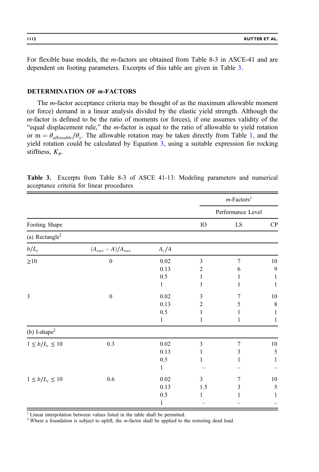<span id="page-15-0"></span>For flexible base models, the m-factors are obtained from Table 8-3 in ASCE-41 and are dependent on footing parameters. Excerpts of this table are given in Table 3.

# DETERMINATION OF m-FACTORS

The m-factor acceptance criteria may be thought of as the maximum allowable moment (or force) demand in a linear analysis divided by the elastic yield strength. Although the m-factor is defined to be the ratio of moments (or forces), if one assumes validity of the "equal displacement rule," the m-factor is equal to the ratio of allowable to yield rotation or m =  $\theta_{allowable}/\theta_v$ . The allowable rotation may be taken directly from Table [1](#page-6-0), and the yield rotation could be calculated by Equation 3, using a suitable expression for rocking stiffness,  $K_{\theta}$ .

|                            |                           |            |            | $m$ -Factors <sup>1</sup> |        |  |
|----------------------------|---------------------------|------------|------------|---------------------------|--------|--|
|                            |                           |            |            | Performance Level         |        |  |
| Footing Shape              |                           | ${\rm IO}$ | ${\rm LS}$ | ${\bf CP}$                |        |  |
| (a) Rectangle <sup>2</sup> |                           |            |            |                           |        |  |
| $b/L_c$                    | $(A_{rect} - A)/A_{rect}$ | $A_c/A$    |            |                           |        |  |
| ${\geq}10$                 | $\boldsymbol{0}$          | 0.02       | 3          | $\overline{7}$            | $10\,$ |  |
|                            |                           | 0.13       | 2          | 6                         | 9      |  |
|                            |                           | 0.5        | 1          |                           | 1      |  |
|                            |                           | 1          | 1          | 1                         | 1      |  |
| 3                          | $\boldsymbol{0}$          | 0.02       | 3          | 7                         | $10\,$ |  |
|                            |                           | 0.13       | 2          | 5                         | 8      |  |
|                            |                           | 0.5        | 1          | 1                         | 1      |  |
|                            |                           | 1          | 1          | 1                         | 1      |  |
| (b) I-shape $2$            |                           |            |            |                           |        |  |
| $1 \le b/L_c \le 10$       | $0.3\,$                   | $0.02\,$   | 3          | 7                         | $10\,$ |  |
|                            |                           | 0.13       | 1          | 3                         | 5      |  |
|                            |                           | $0.5\,$    | 1          | 1                         | 1      |  |
|                            |                           | 1          |            |                           |        |  |
| $1 \le b/L_c \le 10$       | $0.6\,$                   | 0.02       | 3          | 7                         | $10\,$ |  |
|                            |                           | 0.13       | 1.5        | 3                         | 5      |  |
|                            |                           | 0.5        | 1          | 1                         | 1      |  |
|                            |                           | 1          |            |                           |        |  |

Table 3. Excerpts from Table 8-3 of ASCE 41-13: Modeling parameters and numerical acceptance criteria for linear procedures

<sup>1</sup> Linear interpolation between values listed in the table shall be permitted.

<sup>2</sup> Where a foundation is subject to uplift, the  $m$ -factor shall be applied to the restoring dead load.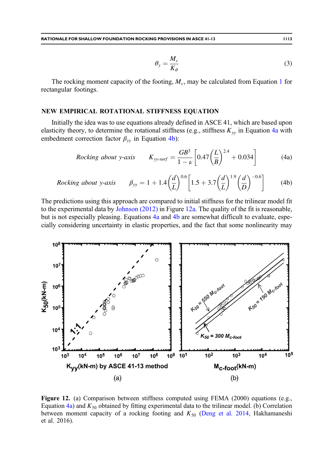$$
\theta_{y} = \frac{M_{c}}{K_{\theta}} \tag{3}
$$

<span id="page-16-0"></span>The rocking moment capacity of the footing,  $M_c$ , may be calculated from Equation [1](#page-5-0) for rectangular footings.

## NEW EMPIRICAL ROTATIONAL STIFFNESS EQUATION

Initially the idea was to use equations already defined in ASCE 41, which are based upon elasticity theory, to determine the rotational stiffness (e.g., stiffness  $K_{yy}$  in Equation 4a with embedment correction factor  $\beta_{yy}$  in Equation 4b):

*Rocking about y-axis* 
$$
K_{yy-surf} = \frac{GB^3}{1-\nu} \left[ 0.47 \left( \frac{L}{B} \right)^{2.4} + 0.034 \right]
$$
 (4a)

*Rocking about y-axis* 
$$
\beta_{yy} = 1 + 1.4 \left(\frac{d}{L}\right)^{0.6} \left[1.5 + 3.7 \left(\frac{d}{L}\right)^{1.9} \left(\frac{d}{D}\right)^{-0.6}\right]
$$
 (4b)

The predictions using this approach are compared to initial stiffness for the trilinear model fit to the experimental data by [Johnson \(2012\)](#page-22-0) in Figure 12a. The quality of the fit is reasonable, but is not especially pleasing. Equations 4a and 4b are somewhat difficult to evaluate, especially considering uncertainty in elastic properties, and the fact that some nonlinearity may



Figure 12. (a) Comparison between stiffness computed using FEMA (2000) equations (e.g., Equation 4a) and  $K_{50}$  obtained by fitting experimental data to the trilinear model. (b) Correlation between moment capacity of a rocking footing and  $K_{50}$  [\(Deng et al. 2014](#page-21-0), Hakhamaneshi et al. 2016).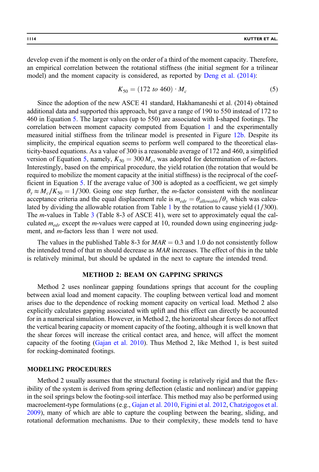develop even if the moment is only on the order of a third of the moment capacity. Therefore, an empirical correlation between the rotational stiffness (the initial segment for a trilinear model) and the moment capacity is considered, as reported by [Deng et al. \(2014\)](#page-21-0):

$$
K_{50} = (172 \text{ to } 460) \cdot M_c \tag{5}
$$

Since the adoption of the new ASCE 41 standard, Hakhamaneshi et al. (2014) obtained additional data and supported this approach, but gave a range of 190 to 550 instead of 172 to 460 in Equation 5. The larger values (up to 550) are associated with I-shaped footings. The correlation between moment capacity computed from Equation [1](#page-5-0) and the experimentally measured initial stiffness from the trilinear model is presented in Figure [12b.](#page-16-0) Despite its simplicity, the empirical equation seems to perform well compared to the theoretical elasticity-based equations. As a value of 300 is a reasonable average of 172 and 460, a simplified version of Equation 5, namely,  $K_{50} = 300 M_c$ , was adopted for determination of m-factors. Interestingly, based on the empirical procedure, the yield rotation (the rotation that would be required to mobilize the moment capacity at the initial stiffness) is the reciprocal of the coefficient in Equation 5. If the average value of 300 is adopted as a coefficient, we get simply  $\theta_y \approx M_c/K_{50} = 1/300$ . Going one step further, the *m*-factor consistent with the nonlinear acceptance criteria and the equal displacement rule is  $m_{edr} = \theta_{allowable} / \theta_{y}$  which was calculated by dividing the allowable rotation from Table  $1$  by the rotation to cause yield (1/300). The m-values in Table [3](#page-15-0) (Table 8-3 of ASCE 41), were set to approximately equal the calculated  $m_{edr}$  except the *m*-values were capped at 10, rounded down using engineering judgment, and *m*-factors less than 1 were not used.

The values in the published Table 8-3 for  $MAR = 0.3$  and 1.0 do not consistently follow the intended trend of that m should decrease as MAR increases. The effect of this in the table is relatively minimal, but should be updated in the next to capture the intended trend.

# METHOD 2: BEAM ON GAPPING SPRINGS

Method 2 uses nonlinear gapping foundations springs that account for the coupling between axial load and moment capacity. The coupling between vertical load and moment arises due to the dependence of rocking moment capacity on vertical load. Method 2 also explicitly calculates gapping associated with uplift and this effect can directly be accounted for in a numerical simulation. However, in Method 2, the horizontal shear forces do not affect the vertical bearing capacity or moment capacity of the footing, although it is well known that the shear forces will increase the critical contact area, and hence, will affect the moment capacity of the footing ([Gajan et al. 2010](#page-22-0)). Thus Method 2, like Method 1, is best suited for rocking-dominated footings.

#### MODELING PROCEDURES

Method 2 usually assumes that the structural footing is relatively rigid and that the flexibility of the system is derived from spring deflection (elastic and nonlinear) and/or gapping in the soil springs below the footing-soil interface. This method may also be performed using macroelement-type formulations (e.g., [Gajan et al. 2010,](#page-22-0) [Figini et al. 2012](#page-21-0), [Chatzigogos et al.](#page-21-0) [2009\)](#page-21-0), many of which are able to capture the coupling between the bearing, sliding, and rotational deformation mechanisms. Due to their complexity, these models tend to have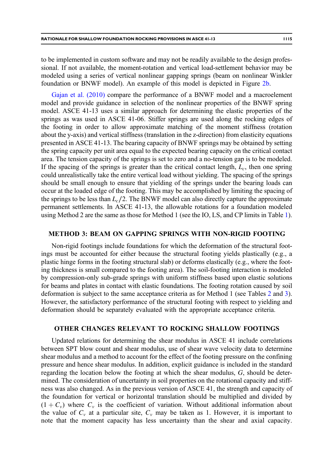to be implemented in custom software and may not be readily available to the design professional. If not available, the moment-rotation and vertical load-settlement behavior may be modeled using a series of vertical nonlinear gapping springs (beam on nonlinear Winkler foundation or BNWF model). An example of this model is depicted in Figure [2b](#page-3-0).

[Gajan et al. \(2010\)](#page-22-0) compare the performance of a BNWF model and a macroelement model and provide guidance in selection of the nonlinear properties of the BNWF spring model. ASCE 41-13 uses a similar approach for determining the elastic properties of the springs as was used in ASCE 41-06. Stiffer springs are used along the rocking edges of the footing in order to allow approximate matching of the moment stiffness (rotation about the y-axis) and vertical stiffness (translation in the z-direction) from elasticity equations presented in ASCE 41-13. The bearing capacity of BNWF springs may be obtained by setting the spring capacity per unit area equal to the expected bearing capacity on the critical contact area. The tension capacity of the springs is set to zero and a no-tension gap is to be modeled. If the spacing of the springs is greater than the critical contact length,  $L_c$ , then one spring could unrealistically take the entire vertical load without yielding. The spacing of the springs should be small enough to ensure that yielding of the springs under the bearing loads can occur at the loaded edge of the footing. This may be accomplished by limiting the spacing of the springs to be less than  $L_c/2$ . The BNWF model can also directly capture the approximate permanent settlements. In ASCE 41-13, the allowable rotations for a foundation modeled using Method 2 are the same as those for Method 1 (see the IO, LS, and CP limits in Table [1](#page-6-0)).

## METHOD 3: BEAM ON GAPPING SPRINGS WITH NON-RIGID FOOTING

Non-rigid footings include foundations for which the deformation of the structural footings must be accounted for either because the structural footing yields plastically (e.g., a plastic hinge forms in the footing structural slab) or deforms elastically (e.g., where the footing thickness is small compared to the footing area). The soil-footing interaction is modeled by compression-only sub-grade springs with uniform stiffness based upon elastic solutions for beams and plates in contact with elastic foundations. The footing rotation caused by soil deformation is subject to the same acceptance criteria as for Method 1 (see Tables [2](#page-7-0) and [3](#page-15-0)). However, the satisfactory performance of the structural footing with respect to yielding and deformation should be separately evaluated with the appropriate acceptance criteria.

#### OTHER CHANGES RELEVANT TO ROCKING SHALLOW FOOTINGS

Updated relations for determining the shear modulus in ASCE 41 include correlations between SPT blow count and shear modulus, use of shear wave velocity data to determine shear modulus and a method to account for the effect of the footing pressure on the confining pressure and hence shear modulus. In addition, explicit guidance is included in the standard regarding the location below the footing at which the shear modulus,  $G$ , should be determined. The consideration of uncertainty in soil properties on the rotational capacity and stiffness was also changed. As in the previous version of ASCE 41, the strength and capacity of the foundation for vertical or horizontal translation should be multiplied and divided by  $(1 + C_v)$  where  $C_v$  is the coefficient of variation. Without additional information about the value of  $C_v$  at a particular site,  $C_v$  may be taken as 1. However, it is important to note that the moment capacity has less uncertainty than the shear and axial capacity.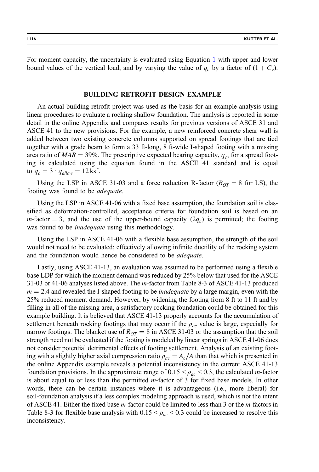For moment capacity, the uncertainty is evaluated using Equation [1](#page-5-0) with upper and lower bound values of the vertical load, and by varying the value of  $q_c$  by a factor of  $(1 + C_v)$ .

## BUILDING RETROFIT DESIGN EXAMPLE

An actual building retrofit project was used as the basis for an example analysis using linear procedures to evaluate a rocking shallow foundation. The analysis is reported in some detail in the online Appendix and compares results for previous versions of ASCE 31 and ASCE 41 to the new provisions. For the example, a new reinforced concrete shear wall is added between two existing concrete columns supported on spread footings that are tied together with a grade beam to form a 33 ft-long, 8 ft-wide I-shaped footing with a missing area ratio of  $MAR = 39\%$ . The prescriptive expected bearing capacity,  $q_c$ , for a spread footing is calculated using the equation found in the ASCE 41 standard and is equal to  $q_c = 3 \cdot q_{allow} = 12$  ksf.

Using the LSP in ASCE 31-03 and a force reduction R-factor ( $R_{OT} = 8$  for LS), the footing was found to be adequate.

Using the LSP in ASCE 41-06 with a fixed base assumption, the foundation soil is classified as deformation-controlled, acceptance criteria for foundation soil is based on an *m*-factor = 3, and the use of the upper-bound capacity  $(2q_c)$  is permitted; the footing was found to be *inadequate* using this methodology.

Using the LSP in ASCE 41-06 with a flexible base assumption, the strength of the soil would not need to be evaluated; effectively allowing infinite ductility of the rocking system and the foundation would hence be considered to be *adequate*.

Lastly, using ASCE 41-13, an evaluation was assumed to be performed using a flexible base LDP for which the moment demand was reduced by 25% below that used for the ASCE 31-03 or 41-06 analyses listed above. The m-factor from Table 8-3 of ASCE 41-13 produced  $m = 2.4$  and revealed the I-shaped footing to be *inadequate* by a large margin, even with the 25% reduced moment demand. However, by widening the footing from 8 ft to 11 ft and by filling in all of the missing area, a satisfactory rocking foundation could be obtained for this example building. It is believed that ASCE 41-13 properly accounts for the accumulation of settlement beneath rocking footings that may occur if the  $\rho_{ac}$  value is large, especially for narrow footings. The blanket use of  $R_{OT} = 8$  in ASCE 31-03 or the assumption that the soil strength need not be evaluated if the footing is modeled by linear springs in ASCE 41-06 does not consider potential detrimental effects of footing settlement. Analysis of an existing footing with a slightly higher axial compression ratio  $\rho_{ac} = A_c/A$  than that which is presented in the online Appendix example reveals a potential inconsistency in the current ASCE 41-13 foundation provisions. In the approximate range of  $0.15 < \rho_{ac} < 0.3$ , the calculated *m*-factor is about equal to or less than the permitted m-factor of 3 for fixed base models. In other words, there can be certain instances where it is advantageous (i.e., more liberal) for soil-foundation analysis if a less complex modeling approach is used, which is not the intent of ASCE 41. Either the fixed base *m*-factor could be limited to less than 3 or the *m*-factors in Table 8-3 for flexible base analysis with  $0.15 < \rho_{ac} < 0.3$  could be increased to resolve this inconsistency.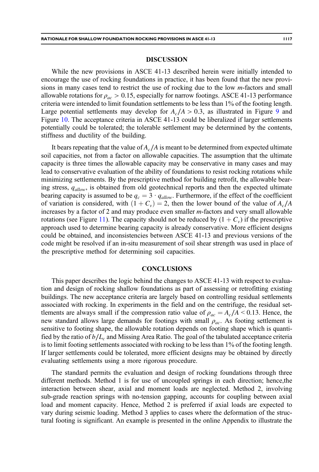## DISCUSSION

While the new provisions in ASCE 41-13 described herein were initially intended to encourage the use of rocking foundations in practice, it has been found that the new provisions in many cases tend to restrict the use of rocking due to the low *m*-factors and small allowable rotations for  $\rho_{ac} > 0.15$ , especially for narrow footings. ASCE 41-13 performance criteria were intended to limit foundation settlements to be less than 1% of the footing length. Large potential settlements may develop for  $A_c/A > 0.3$ , as illustrated in Figure [9](#page-11-0) and Figure [10](#page-12-0). The acceptance criteria in ASCE 41-13 could be liberalized if larger settlements potentially could be tolerated; the tolerable settlement may be determined by the contents, stiffness and ductility of the building.

It bears repeating that the value of  $A_c/A$  is meant to be determined from expected ultimate soil capacities, not from a factor on allowable capacities. The assumption that the ultimate capacity is three times the allowable capacity may be conservative in many cases and may lead to conservative evaluation of the ability of foundations to resist rocking rotations while minimizing settlements. By the prescriptive method for building retrofit, the allowable bearing stress,  $q_{allow}$  is obtained from old geotechnical reports and then the expected ultimate bearing capacity is assumed to be  $q_c = 3 \cdot q_{allow}$ . Furthermore, if the effect of the coefficient of variation is considered, with  $(1 + C_v) = 2$ , then the lower bound of the value of  $A_c/A$ increases by a factor of 2 and may produce even smaller m-factors and very small allowable rotations (see Figure [11](#page-13-0)). The capacity should not be reduced by  $(1 + C_v)$  if the prescriptive approach used to determine bearing capacity is already conservative. More efficient designs could be obtained, and inconsistencies between ASCE 41-13 and previous versions of the code might be resolved if an in-situ measurement of soil shear strength was used in place of the prescriptive method for determining soil capacities.

## **CONCLUSIONS**

This paper describes the logic behind the changes to ASCE 41-13 with respect to evaluation and design of rocking shallow foundations as part of assessing or retrofitting existing buildings. The new acceptance criteria are largely based on controlling residual settlements associated with rocking. In experiments in the field and on the centrifuge, the residual settlements are always small if the compression ratio value of  $\rho_{ac} = A_c/A \leq 0.13$ . Hence, the new standard allows large demands for footings with small  $\rho_{ac}$ . As footing settlement is sensitive to footing shape, the allowable rotation depends on footing shape which is quantified by the ratio of  $b/L_c$  and Missing Area Ratio. The goal of the tabulated acceptance criteria is to limit footing settlements associated with rocking to be less than 1% of the footing length. If larger settlements could be tolerated, more efficient designs may be obtained by directly evaluating settlements using a more rigorous procedure.

The standard permits the evaluation and design of rocking foundations through three different methods. Method 1 is for use of uncoupled springs in each direction; hence,the interaction between shear, axial and moment loads are neglected. Method 2, involving sub-grade reaction springs with no-tension gapping, accounts for coupling between axial load and moment capacity. Hence, Method 2 is preferred if axial loads are expected to vary during seismic loading. Method 3 applies to cases where the deformation of the structural footing is significant. An example is presented in the online Appendix to illustrate the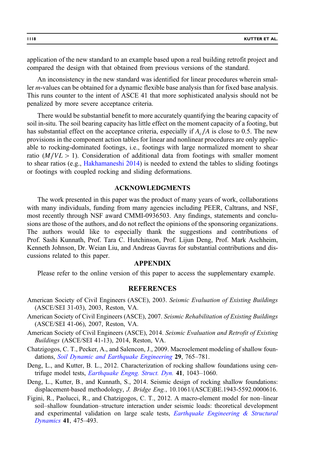<span id="page-21-0"></span>application of the new standard to an example based upon a real building retrofit project and compared the design with that obtained from previous versions of the standard.

An inconsistency in the new standard was identified for linear procedures wherein smaller m-values can be obtained for a dynamic flexible base analysis than for fixed base analysis. This runs counter to the intent of ASCE 41 that more sophisticated analysis should not be penalized by more severe acceptance criteria.

There would be substantial benefit to more accurately quantifying the bearing capacity of soil in-situ. The soil bearing capacity has little effect on the moment capacity of a footing, but has substantial effect on the acceptance criteria, especially if  $A_c/A$  is close to 0.5. The new provisions in the component action tables for linear and nonlinear procedures are only applicable to rocking-dominated footings, i.e., footings with large normalized moment to shear ratio  $(M/VL > 1)$ . Consideration of additional data from footings with smaller moment to shear ratios (e.g., [Hakhamaneshi 2014\)](#page-22-0) is needed to extend the tables to sliding footings or footings with coupled rocking and sliding deformations.

# ACKNOWLEDGMENTS

The work presented in this paper was the product of many years of work, collaborations with many individuals, funding from many agencies including PEER, Caltrans, and NSF, most recently through NSF award CMMI-0936503. Any findings, statements and conclusions are those of the authors, and do not reflect the opinions of the sponsoring organizations. The authors would like to especially thank the suggestions and contributions of Prof. Sashi Kunnath, Prof. Tara C. Hutchinson, Prof. Lijun Deng, Prof. Mark Aschheim, Kenneth Johnson, Dr. Weian Liu, and Andreas Gavras for substantial contributions and discussions related to this paper.

## APPENDIX

Please refer to the online version of this paper to access the supplementary example.

# **REFERENCES**

- American Society of Civil Engineers (ASCE), 2003. Seismic Evaluation of Existing Buildings (ASCE/SEI 31-03), 2003, Reston, VA.
- American Society of Civil Engineers (ASCE), 2007. Seismic Rehabilitation of Existing Buildings (ASCE/SEI 41-06), 2007, Reston, VA.
- American Society of Civil Engineers (ASCE), 2014. Seismic Evaluation and Retrofit of Existing Buildings (ASCE/SEI 41-13), 2014, Reston, VA.
- Chatzigogos, C. T., Pecker, A., and Salencon, J., 2009. Macroelement modeling of shallow foun-dations, [Soil Dynamic and Earthquake Engineering](http://dx.doi.org/10.1016/j.soildyn.2008.08.009) 29, 765–781.
- Deng, L., and Kutter, B. L., 2012. Characterization of rocking shallow foundations using centrifuge model tests, *[Earthquake Engng. Struct. Dyn.](http://dx.doi.org/10.1002/eqe.v41.5)* 41, 1043–1060.
- Deng, L., Kutter, B., and Kunnath, S., 2014. Seismic design of rocking shallow foundations: displacement-based methodology, J. Bridge Eng., 10.1061/(ASCE)BE.1943-5592.0000616.
- Figini, R., Paolucci, R., and Chatzigogos, C. T., 2012. A macro-element model for non–linear soil–shallow foundation–structure interaction under seismic loads: theoretical development and experimental validation on large scale tests,  $Earthquake$  Engineering  $\&$  Structural [Dynamics](http://dx.doi.org/10.1002/eqe.v41.3) 41, 475–493.